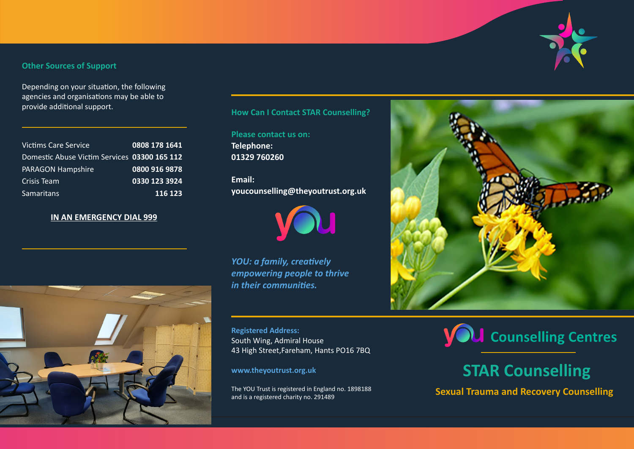## **Other Sources of Support**

Depending on your situation, the following agencies and organisations may be able to provide additional support. **How Can I Contact STAR Counselling?**

| <b>Victims Care Service</b>                  | 0808 178 1641 |
|----------------------------------------------|---------------|
| Domestic Abuse Victim Services 03300 165 112 |               |
| <b>PARAGON Hampshire</b>                     | 0800 916 9878 |
| Crisis Team                                  | 0330 123 3924 |
| <b>Samaritans</b>                            | 116 123       |

# **IN AN EMERGENCY DIAL 999**



**Please contact us on: Telephone: 01329 760260**

**Email: youcounselling@theyoutrust.org.uk**



*YOU: a family, creatively empowering people to thrive in their communities.*

**Registered Address:** South Wing, Admiral House 43 High Street,Fareham, Hants PO16 7BQ

**www.theyoutrust.org.uk**

The YOU Trust is registered in England no. 1898188 and is a registered charity no. 291489





# **STAR Counselling**

**Sexual Trauma and Recovery Counselling**